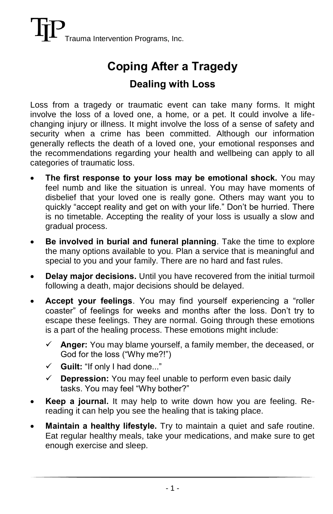## **Coping After a Tragedy**

## **Dealing with Loss**

Loss from a tragedy or traumatic event can take many forms. It might involve the loss of a loved one, a home, or a pet. It could involve a lifechanging injury or illness. It might involve the loss of a sense of safety and security when a crime has been committed. Although our information generally reflects the death of a loved one, your emotional responses and the recommendations regarding your health and wellbeing can apply to all categories of traumatic loss.

- **The first response to your loss may be emotional shock.** You may feel numb and like the situation is unreal. You may have moments of disbelief that your loved one is really gone. Others may want you to quickly "accept reality and get on with your life." Don't be hurried. There is no timetable. Accepting the reality of your loss is usually a slow and gradual process.
- **Be involved in burial and funeral planning**. Take the time to explore the many options available to you. Plan a service that is meaningful and special to you and your family. There are no hard and fast rules.
- **Delay major decisions.** Until you have recovered from the initial turmoil following a death, major decisions should be delayed.
- **Accept your feelings**. You may find yourself experiencing a "roller coaster" of feelings for weeks and months after the loss. Don't try to escape these feelings. They are normal. Going through these emotions is a part of the healing process. These emotions might include:
	- **Anger:** You may blame yourself, a family member, the deceased, or God for the loss ("Why me?!")
	- **Guilt:** "If only I had done..."
	- **Depression:** You may feel unable to perform even basic daily tasks. You may feel "Why bother?"
- **Keep a journal.** It may help to write down how you are feeling. Rereading it can help you see the healing that is taking place.
- **Maintain a healthy lifestyle.** Try to maintain a quiet and safe routine. Eat regular healthy meals, take your medications, and make sure to get enough exercise and sleep.